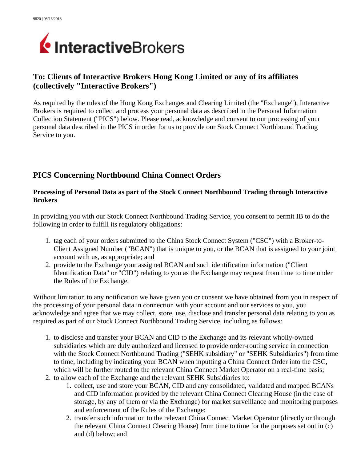

# **To: Clients of Interactive Brokers Hong Kong Limited or any of its affiliates (collectively "Interactive Brokers")**

As required by the rules of the Hong Kong Exchanges and Clearing Limited (the "Exchange"), Interactive Brokers is required to collect and process your personal data as described in the Personal Information Collection Statement ("PICS") below. Please read, acknowledge and consent to our processing of your personal data described in the PICS in order for us to provide our Stock Connect Northbound Trading Service to you.

# **PICS Concerning Northbound China Connect Orders**

## **Processing of Personal Data as part of the Stock Connect Northbound Trading through Interactive Brokers**

In providing you with our Stock Connect Northbound Trading Service, you consent to permit IB to do the following in order to fulfill its regulatory obligations:

- 1. tag each of your orders submitted to the China Stock Connect System ("CSC") with a Broker-to-Client Assigned Number ("BCAN") that is unique to you, or the BCAN that is assigned to your joint account with us, as appropriate; and
- 2. provide to the Exchange your assigned BCAN and such identification information ("Client Identification Data" or "CID") relating to you as the Exchange may request from time to time under the Rules of the Exchange.

Without limitation to any notification we have given you or consent we have obtained from you in respect of the processing of your personal data in connection with your account and our services to you, you acknowledge and agree that we may collect, store, use, disclose and transfer personal data relating to you as required as part of our Stock Connect Northbound Trading Service, including as follows:

- 1. to disclose and transfer your BCAN and CID to the Exchange and its relevant wholly-owned subsidiaries which are duly authorized and licensed to provide order-routing service in connection with the Stock Connect Northbound Trading ("SEHK subsidiary" or "SEHK Subsidiaries") from time to time, including by indicating your BCAN when inputting a China Connect Order into the CSC, which will be further routed to the relevant China Connect Market Operator on a real-time basis;
- 2. to allow each of the Exchange and the relevant SEHK Subsidiaries to:
	- 1. collect, use and store your BCAN, CID and any consolidated, validated and mapped BCANs and CID information provided by the relevant China Connect Clearing House (in the case of storage, by any of them or via the Exchange) for market surveillance and monitoring purposes and enforcement of the Rules of the Exchange;
	- 2. transfer such information to the relevant China Connect Market Operator (directly or through the relevant China Connect Clearing House) from time to time for the purposes set out in (c) and (d) below; and